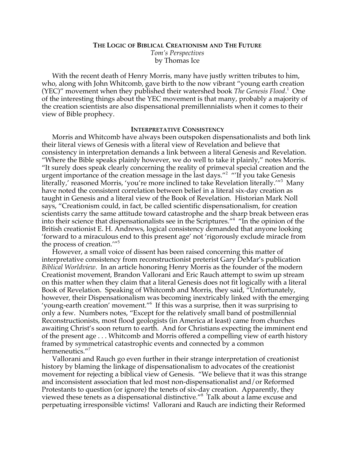# **THE LOGIC OF BIBLICAL CREATIONISM AND THE FUTURE** *Tom's Perspectives* by Thomas Ice

With the recent death of Henry Morris, many have justly written tributes to him, who, along with John Whitcomb, gave birth to the now vibrant "young earth creation (YEC)" movement when they published their watershed book *The Genesis Flood*.<sup>1</sup> One of the interesting things about the YEC movement is that many, probably a majority of the creation scientists are also dispensational premillennialists when it comes to their view of Bible prophecy.

### **INTERPRETATIVE CONSISTENCY**

Morris and Whitcomb have always been outspoken dispensationalists and both link their literal views of Genesis with a literal view of Revelation and believe that consistency in interpretation demands a link between a literal Genesis and Revelation. "Where the Bible speaks plainly however, we do well to take it plainly," notes Morris. "It surely does speak clearly concerning the reality of primeval special creation and the urgent importance of the creation message in the last days."<sup>2</sup> "'If you take Genesis literally,' reasoned Morris, 'you're more inclined to take Revelation literally.'"<sup>3</sup> Many have noted the consistent correlation between belief in a literal six-day creation as taught in Genesis and a literal view of the Book of Revelation. Historian Mark Noll says, "Creationism could, in fact, be called scientific dispensationalism, for creation scientists carry the same attitude toward catastrophe and the sharp break between eras into their science that dispensationalists see in the Scriptures."4 "In the opinion of the British creationist E. H. Andrews, logical consistency demanded that anyone looking 'forward to a miraculous end to this present age' not 'rigorously exclude miracle from the process of creation.'"5

However, a small voice of dissent has been raised concerning this matter of interpretative consistency from reconstructionist preterist Gary DeMar's publication *Biblical Worldview*. In an article honoring Henry Morris as the founder of the modern Creationist movement, Brandon Vallorani and Eric Rauch attempt to swim up stream on this matter when they claim that a literal Genesis does not fit logically with a literal Book of Revelation. Speaking of Whitcomb and Morris, they said, "Unfortunately, however, their Dispensationalism was becoming inextricably linked with the emerging 'young-earth creation' movement."6 If this was a surprise, then it was surprising to only a few. Numbers notes, "Except for the relatively small band of postmillennial Reconstructionists, most flood geologists (in America at least) came from churches awaiting Christ's soon return to earth. And for Christians expecting the imminent end of the present age . . . Whitcomb and Morris offered a compelling view of earth history framed by symmetrical catastrophic events and connected by a common hermeneutics."<sup>7</sup>

Vallorani and Rauch go even further in their strange interpretation of creationist history by blaming the linkage of dispensationalism to advocates of the creationist movement for rejecting a biblical view of Genesis. "We believe that it was this strange and inconsistent association that led most non-dispensationalist and/or Reformed Protestants to question (or ignore) the tenets of six-day creation. Apparently, they viewed these tenets as a dispensational distinctive."<sup>8</sup> Talk about a lame excuse and perpetuating irresponsible victims! Vallorani and Rauch are indicting their Reformed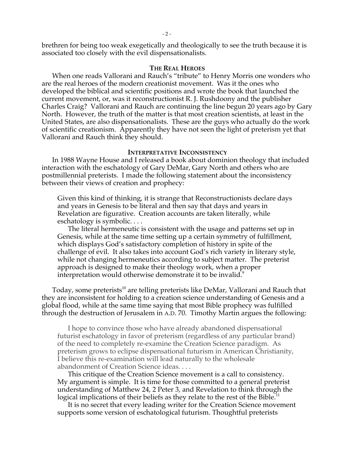brethren for being too weak exegetically and theologically to see the truth because it is associated too closely with the evil dispensationalists.

#### **THE REAL HEROES**

When one reads Vallorani and Rauch's "tribute" to Henry Morris one wonders who are the real heroes of the modern creationist movement. Was it the ones who developed the biblical and scientific positions and wrote the book that launched the current movement, or, was it reconstructionist R. J. Rushdoony and the publisher Charles Craig? Vallorani and Rauch are continuing the line begun 20 years ago by Gary North. However, the truth of the matter is that most creation scientists, at least in the United States, are also dispensationalists. These are the guys who actually do the work of scientific creationism. Apparently they have not seen the light of preterism yet that Vallorani and Rauch think they should.

### **INTERPRETATIVE INCONSISTENCY**

In 1988 Wayne House and I released a book about dominion theology that included interaction with the eschatology of Gary DeMar, Gary North and others who are postmillennial preterists. I made the following statement about the inconsistency between their views of creation and prophecy:

Given this kind of thinking, it is strange that Reconstructionists declare days and years in Genesis to be literal and then say that days and years in Revelation are figurative. Creation accounts are taken literally, while eschatology is symbolic. . . .

The literal hermeneutic is consistent with the usage and patterns set up in Genesis, while at the same time setting up a certain symmetry of fulfillment, which displays God's satisfactory completion of history in spite of the challenge of evil. It also takes into account God's rich variety in literary style, while not changing hermeneutics according to subject matter. The preterist approach is designed to make their theology work, when a proper interpretation would otherwise demonstrate it to be invalid.<sup>9</sup>

Today, some preterists $^{\text{10}}$  are telling preterists like DeMar, Vallorani and Rauch that they are inconsistent for holding to a creation science understanding of Genesis and a global flood, while at the same time saying that most Bible prophecy was fulfilled through the destruction of Jerusalem in A.D. 70. Timothy Martin argues the following:

I hope to convince those who have already abandoned dispensational futurist eschatology in favor of preterism (regardless of any particular brand) of the need to completely re-examine the Creation Science paradigm. As preterism grows to eclipse dispensational futurism in American Christianity, I believe this re-examination will lead naturally to the wholesale abandonment of Creation Science ideas. . . .

This critique of the Creation Science movement is a call to consistency. My argument is simple. It is time for those committed to a general preterist understanding of Matthew 24, 2 Peter 3, and Revelation to think through the logical implications of their beliefs as they relate to the rest of the Bible.<sup>11</sup>

It is no secret that every leading writer for the Creation Science movement supports some version of eschatological futurism. Thoughtful preterists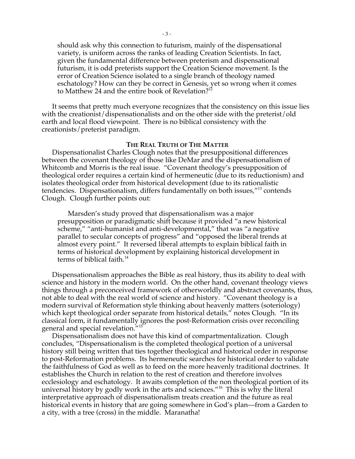should ask why this connection to futurism, mainly of the dispensational variety, is uniform across the ranks of leading Creation Scientists. In fact, given the fundamental difference between preterism and dispensational futurism, it is odd preterists support the Creation Science movement. Is the error of Creation Science isolated to a single branch of theology named eschatology? How can they be correct in Genesis, yet so wrong when it comes to Matthew 24 and the entire book of Revelation?<sup>12</sup>

It seems that pretty much everyone recognizes that the consistency on this issue lies with the creationist/dispensationalists and on the other side with the preterist/old earth and local flood viewpoint. There is no biblical consistency with the creationists/preterist paradigm.

#### **THE REAL TRUTH OF THE MATTER**

Dispensationalist Charles Clough notes that the presuppositional differences between the covenant theology of those like DeMar and the dispensationalism of Whitcomb and Morris is the real issue. "Covenant theology's presupposition of theological order requires a certain kind of hermeneutic (due to its reductionism) and isolates theological order from historical development (due to its rationalistic tendencies. Dispensationalism, differs fundamentally on both issues,"<sup>13</sup> contends Clough. Clough further points out:

Marsden's study proved that dispensationalism was a major presupposition or paradigmatic shift because it provided "a new historical scheme," "anti-humanist and anti-developmental," that was "a negative parallel to secular concepts of progress" and "opposed the liberal trends at almost every point." It reversed liberal attempts to explain biblical faith in terms of historical development by explaining historical development in terms of biblical faith.<sup>14</sup>

Dispensationalism approaches the Bible as real history, thus its ability to deal with science and history in the modern world. On the other hand, covenant theology views things through a preconceived framework of otherworldly and abstract covenants, thus, not able to deal with the real world of science and history. "Covenant theology is a modern survival of Reformation style thinking about heavenly matters (soteriology) which kept theological order separate from historical details," notes Clough. "In its classical form, it fundamentally ignores the post-Reformation crisis over reconciling general and special revelation."<sup>15</sup>

Dispensationalism does not have this kind of compartmentalization. Clough concludes, "Dispensationalism is the completed theological portion of a universal history still being written that ties together theological and historical order in response to post-Reformation problems. Its hermeneutic searches for historical order to validate the faithfulness of God as well as to feed on the more heavenly traditional doctrines. It establishes the Church in relation to the rest of creation and therefore involves ecclesiology and eschatology. It awaits completion of the non theological portion of its universal history by godly work in the arts and sciences."<sup>16</sup> This is why the literal interpretative approach of dispensationalism treats creation and the future as real historical events in history that are going somewhere in God's plan—from a Garden to a city, with a tree (cross) in the middle. Maranatha!